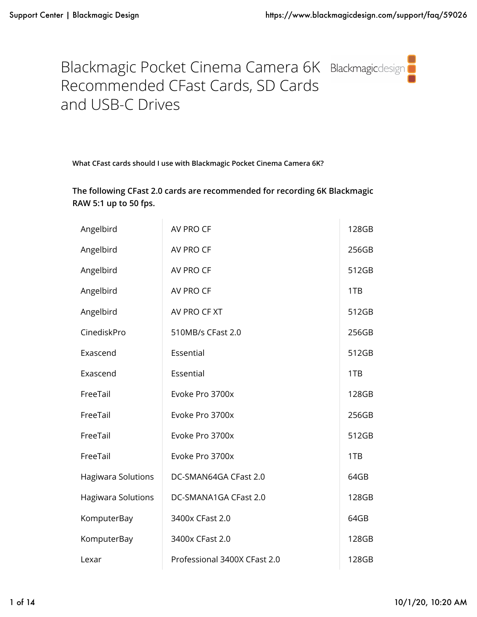

**What CFast cards should I use with Blackmagic Pocket Cinema Camera 6K?**

**The following CFast 2.0 cards are recommended for recording 6K Blackmagic RAW 5:1 up to 50 fps.**

| Angelbird                 | AV PRO CF                    | 128GB |
|---------------------------|------------------------------|-------|
| Angelbird                 | AV PRO CF                    | 256GB |
| Angelbird                 | AV PRO CF                    | 512GB |
| Angelbird                 | AV PRO CF                    | 1TB   |
| Angelbird                 | AV PRO CF XT                 | 512GB |
| CinediskPro               | 510MB/s CFast 2.0            | 256GB |
| Exascend                  | Essential                    | 512GB |
| Exascend                  | Essential                    | 1TB   |
| FreeTail                  | Evoke Pro 3700x              | 128GB |
| FreeTail                  | Evoke Pro 3700x              | 256GB |
| FreeTail                  | Evoke Pro 3700x              | 512GB |
| FreeTail                  | Evoke Pro 3700x              | 1TB   |
| <b>Hagiwara Solutions</b> | DC-SMAN64GA CFast 2.0        | 64GB  |
| Hagiwara Solutions        | DC-SMANA1GA CFast 2.0        | 128GB |
| KomputerBay               | 3400x CFast 2.0              | 64GB  |
| KomputerBay               | 3400x CFast 2.0              | 128GB |
| Lexar                     | Professional 3400X CFast 2.0 | 128GB |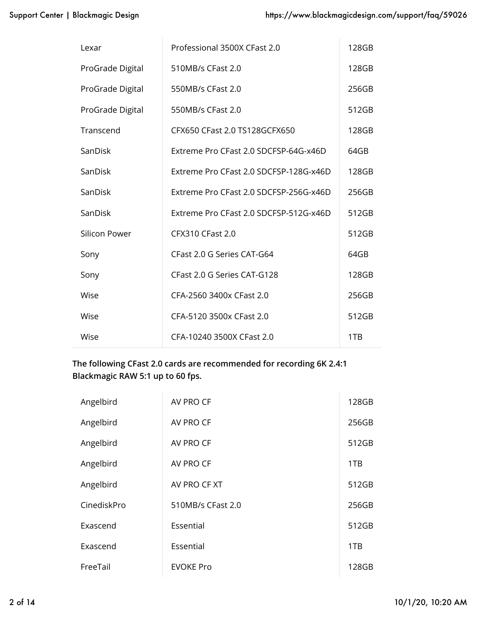| Lexar            | Professional 3500X CFast 2.0           | 128GB |
|------------------|----------------------------------------|-------|
| ProGrade Digital | 510MB/s CFast 2.0                      | 128GB |
| ProGrade Digital | 550MB/s CFast 2.0                      | 256GB |
| ProGrade Digital | 550MB/s CFast 2.0                      | 512GB |
| Transcend        | CFX650 CFast 2.0 TS128GCFX650          | 128GB |
| SanDisk          | Extreme Pro CFast 2.0 SDCFSP-64G-x46D  | 64GB  |
| SanDisk          | Extreme Pro CFast 2.0 SDCFSP-128G-x46D | 128GB |
| SanDisk          | Extreme Pro CFast 2.0 SDCFSP-256G-x46D | 256GB |
| SanDisk          | Extreme Pro CFast 2.0 SDCFSP-512G-x46D | 512GB |
| Silicon Power    | <b>CFX310 CFast 2.0</b>                | 512GB |
| Sony             | CFast 2.0 G Series CAT-G64             | 64GB  |
| Sony             | CFast 2.0 G Series CAT-G128            | 128GB |
| Wise             | CFA-2560 3400x CFast 2.0               | 256GB |
| Wise             | CFA-5120 3500x CFast 2.0               | 512GB |
| Wise             | CFA-10240 3500X CFast 2.0              | 1TB   |

**The following CFast 2.0 cards are recommended for recording 6K 2.4:1 Blackmagic RAW 5:1 up to 60 fps.**

| Angelbird   | AV PRO CF         | 128GB |
|-------------|-------------------|-------|
| Angelbird   | AV PRO CF         | 256GB |
| Angelbird   | AV PRO CF         | 512GB |
| Angelbird   | AV PRO CF         | 1TB   |
| Angelbird   | AV PRO CF XT      | 512GB |
| CinediskPro | 510MB/s CFast 2.0 | 256GB |
| Exascend    | Essential         | 512GB |
| Exascend    | Essential         | 1TB   |
| FreeTail    | <b>EVOKE Pro</b>  | 128GB |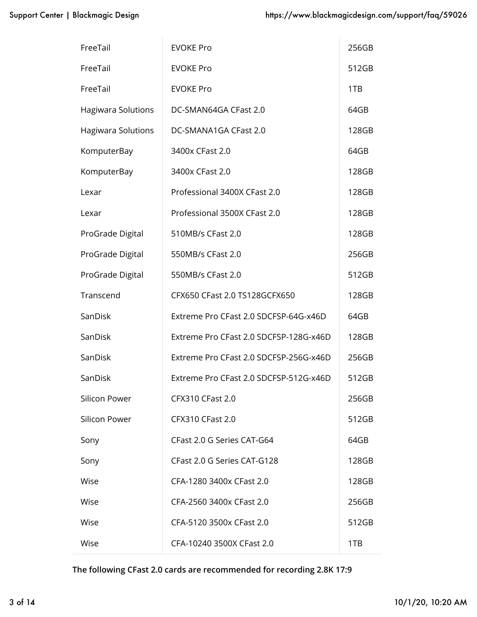| FreeTail                  | <b>EVOKE Pro</b>                       | 256GB |
|---------------------------|----------------------------------------|-------|
| FreeTail                  | <b>EVOKE Pro</b>                       | 512GB |
| FreeTail                  | <b>EVOKE Pro</b>                       | 1TB   |
| Hagiwara Solutions        | DC-SMAN64GA CFast 2.0                  | 64GB  |
| <b>Hagiwara Solutions</b> | DC-SMANA1GA CFast 2.0                  | 128GB |
| KomputerBay               | 3400x CFast 2.0                        | 64GB  |
| KomputerBay               | 3400x CFast 2.0                        | 128GB |
| Lexar                     | Professional 3400X CFast 2.0           | 128GB |
| Lexar                     | Professional 3500X CFast 2.0           | 128GB |
| ProGrade Digital          | 510MB/s CFast 2.0                      | 128GB |
| ProGrade Digital          | 550MB/s CFast 2.0                      | 256GB |
| ProGrade Digital          | 550MB/s CFast 2.0                      | 512GB |
| Transcend                 | CFX650 CFast 2.0 TS128GCFX650          | 128GB |
| SanDisk                   | Extreme Pro CFast 2.0 SDCFSP-64G-x46D  | 64GB  |
| SanDisk                   | Extreme Pro CFast 2.0 SDCFSP-128G-x46D | 128GB |
| SanDisk                   | Extreme Pro CFast 2.0 SDCFSP-256G-x46D | 256GB |
| SanDisk                   | Extreme Pro CFast 2.0 SDCFSP-512G-x46D | 512GB |
| Silicon Power             | <b>CFX310 CFast 2.0</b>                | 256GB |
| Silicon Power             | <b>CFX310 CFast 2.0</b>                | 512GB |
| Sony                      | CFast 2.0 G Series CAT-G64             | 64GB  |
| Sony                      | CFast 2.0 G Series CAT-G128            | 128GB |
| Wise                      | CFA-1280 3400x CFast 2.0               | 128GB |
| Wise                      | CFA-2560 3400x CFast 2.0               | 256GB |
| Wise                      | CFA-5120 3500x CFast 2.0               | 512GB |
| Wise                      | CFA-10240 3500X CFast 2.0              | 1TB   |

**The following CFast 2.0 cards are recommended for recording 2.8K 17:9**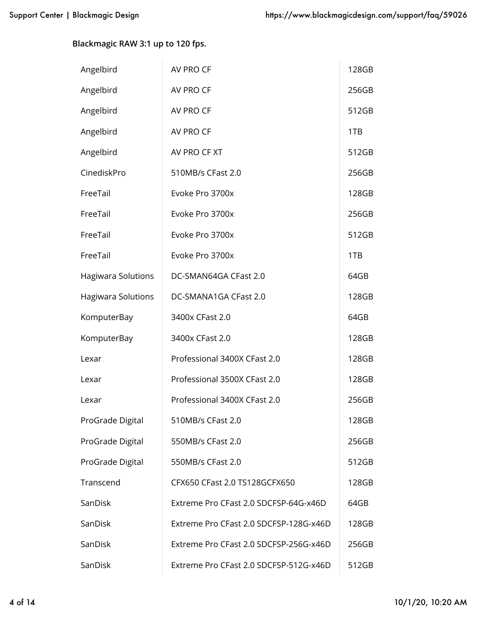**Blackmagic RAW 3:1 up to 120 fps.**

| Angelbird                 | AV PRO CF                              | 128GB |
|---------------------------|----------------------------------------|-------|
| Angelbird                 | AV PRO CF                              | 256GB |
| Angelbird                 | AV PRO CF                              | 512GB |
| Angelbird                 | AV PRO CF                              | 1TB   |
| Angelbird                 | AV PRO CF XT                           | 512GB |
| CinediskPro               | 510MB/s CFast 2.0                      | 256GB |
| FreeTail                  | Evoke Pro 3700x                        | 128GB |
| FreeTail                  | Evoke Pro 3700x                        | 256GB |
| FreeTail                  | Evoke Pro 3700x                        | 512GB |
| FreeTail                  | Evoke Pro 3700x                        | 1TB   |
| <b>Hagiwara Solutions</b> | DC-SMAN64GA CFast 2.0                  | 64GB  |
| Hagiwara Solutions        | DC-SMANA1GA CFast 2.0                  | 128GB |
| KomputerBay               | 3400x CFast 2.0                        | 64GB  |
| KomputerBay               | 3400x CFast 2.0                        | 128GB |
| Lexar                     | Professional 3400X CFast 2.0           | 128GB |
| Lexar                     | Professional 3500X CFast 2.0           | 128GB |
| Lexar                     | Professional 3400X CFast 2.0           | 256GB |
| ProGrade Digital          | 510MB/s CFast 2.0                      | 128GB |
| ProGrade Digital          | 550MB/s CFast 2.0                      | 256GB |
| ProGrade Digital          | 550MB/s CFast 2.0                      | 512GB |
| Transcend                 | CFX650 CFast 2.0 TS128GCFX650          | 128GB |
| SanDisk                   | Extreme Pro CFast 2.0 SDCFSP-64G-x46D  | 64GB  |
| SanDisk                   | Extreme Pro CFast 2.0 SDCFSP-128G-x46D | 128GB |
| SanDisk                   | Extreme Pro CFast 2.0 SDCFSP-256G-x46D | 256GB |
| SanDisk                   | Extreme Pro CFast 2.0 SDCFSP-512G-x46D | 512GB |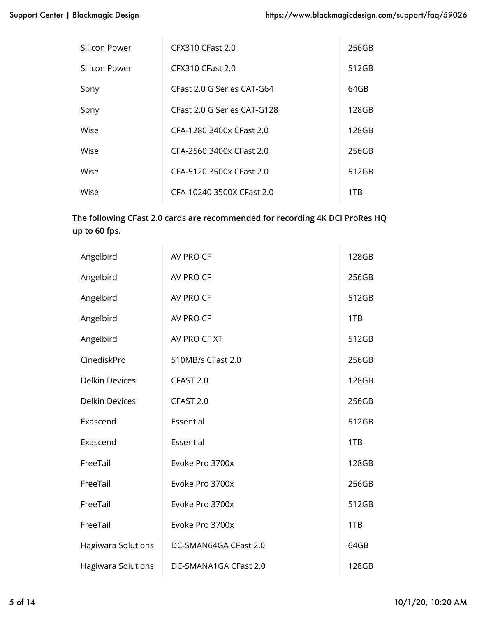| Silicon Power | <b>CFX310 CFast 2.0</b>     | 256GB |
|---------------|-----------------------------|-------|
| Silicon Power | CFX310 CFast 2.0            | 512GB |
| Sony          | CFast 2.0 G Series CAT-G64  | 64GB  |
| Sony          | CFast 2.0 G Series CAT-G128 | 128GB |
| Wise          | CFA-1280 3400x CFast 2.0    | 128GB |
| Wise          | CFA-2560 3400x CFast 2.0    | 256GB |
| Wise          | CFA-5120 3500x CFast 2.0    | 512GB |
| Wise          | CFA-10240 3500X CFast 2.0   | 1TR   |

## **The following CFast 2.0 cards are recommended for recording 4K DCI ProRes HQ up to 60 fps.**

| Angelbird                 | AV PRO CF             | 128GB |
|---------------------------|-----------------------|-------|
| Angelbird                 | AV PRO CF             | 256GB |
| Angelbird                 | AV PRO CF             | 512GB |
| Angelbird                 | AV PRO CF             | 1TB   |
| Angelbird                 | AV PRO CF XT          | 512GB |
| CinediskPro               | 510MB/s CFast 2.0     | 256GB |
| <b>Delkin Devices</b>     | CFAST 2.0             | 128GB |
| <b>Delkin Devices</b>     | CFAST 2.0             | 256GB |
| Exascend                  | Essential             | 512GB |
| Exascend                  | Essential             | 1TB   |
| FreeTail                  | Evoke Pro 3700x       | 128GB |
| FreeTail                  | Evoke Pro 3700x       | 256GB |
| FreeTail                  | Evoke Pro 3700x       | 512GB |
| FreeTail                  | Evoke Pro 3700x       | 1TB   |
| <b>Hagiwara Solutions</b> | DC-SMAN64GA CFast 2.0 | 64GB  |
| <b>Hagiwara Solutions</b> | DC-SMANA1GA CFast 2.0 | 128GB |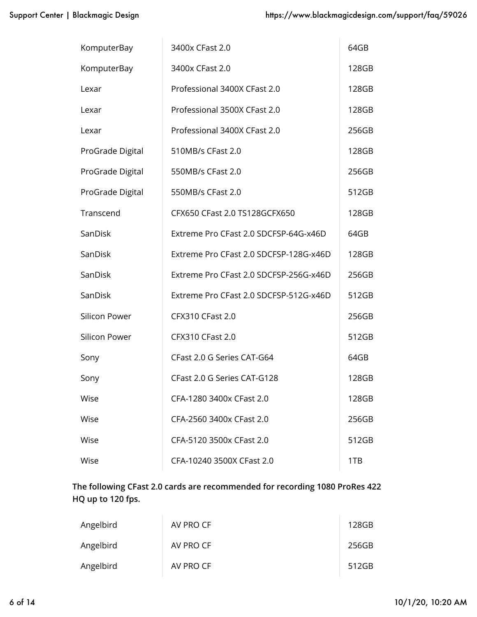| KomputerBay      | 3400x CFast 2.0                        | 64GB  |
|------------------|----------------------------------------|-------|
| KomputerBay      | 3400x CFast 2.0                        | 128GB |
| Lexar            | Professional 3400X CFast 2.0           | 128GB |
| Lexar            | Professional 3500X CFast 2.0           | 128GB |
| Lexar            | Professional 3400X CFast 2.0           | 256GB |
| ProGrade Digital | 510MB/s CFast 2.0                      | 128GB |
| ProGrade Digital | 550MB/s CFast 2.0                      | 256GB |
| ProGrade Digital | 550MB/s CFast 2.0                      | 512GB |
| Transcend        | CFX650 CFast 2.0 TS128GCFX650          | 128GB |
| SanDisk          | Extreme Pro CFast 2.0 SDCFSP-64G-x46D  | 64GB  |
| SanDisk          | Extreme Pro CFast 2.0 SDCFSP-128G-x46D | 128GB |
| SanDisk          | Extreme Pro CFast 2.0 SDCFSP-256G-x46D | 256GB |
| SanDisk          | Extreme Pro CFast 2.0 SDCFSP-512G-x46D | 512GB |
| Silicon Power    | <b>CFX310 CFast 2.0</b>                | 256GB |
| Silicon Power    | <b>CFX310 CFast 2.0</b>                | 512GB |
| Sony             | CFast 2.0 G Series CAT-G64             | 64GB  |
| Sony             | CFast 2.0 G Series CAT-G128            | 128GB |
| Wise             | CFA-1280 3400x CFast 2.0               | 128GB |
| Wise             | CFA-2560 3400x CFast 2.0               | 256GB |
| Wise             | CFA-5120 3500x CFast 2.0               | 512GB |
| Wise             | CFA-10240 3500X CFast 2.0              | 1TB   |

# **The following CFast 2.0 cards are recommended for recording 1080 ProRes 422 HQ up to 120 fps.**

| Angelbird | AV PRO CF | 128GB |
|-----------|-----------|-------|
| Angelbird | AV PRO CF | 256GB |
| Angelbird | AV PRO CF | 512GB |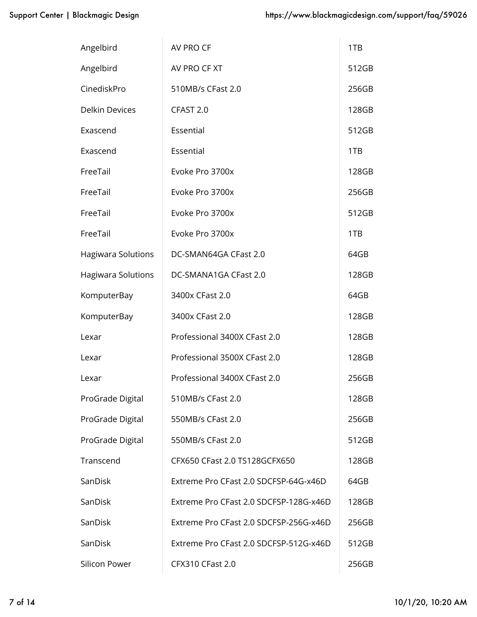| Angelbird                 | AV PRO CF                              | 1TB   |
|---------------------------|----------------------------------------|-------|
| Angelbird                 | AV PRO CF XT                           | 512GB |
| CinediskPro               | 510MB/s CFast 2.0                      | 256GB |
| <b>Delkin Devices</b>     | CFAST 2.0                              | 128GB |
| Exascend                  | Essential                              | 512GB |
| Exascend                  | Essential                              | 1TB   |
| FreeTail                  | Evoke Pro 3700x                        | 128GB |
| FreeTail                  | Evoke Pro 3700x                        | 256GB |
| FreeTail                  | Evoke Pro 3700x                        | 512GB |
| FreeTail                  | Evoke Pro 3700x                        | 1TB   |
| <b>Hagiwara Solutions</b> | DC-SMAN64GA CFast 2.0                  | 64GB  |
| Hagiwara Solutions        | DC-SMANA1GA CFast 2.0                  | 128GB |
| KomputerBay               | 3400x CFast 2.0                        | 64GB  |
| KomputerBay               | 3400x CFast 2.0                        | 128GB |
| Lexar                     | Professional 3400X CFast 2.0           | 128GB |
| Lexar                     | Professional 3500X CFast 2.0           | 128GB |
| Lexar                     | Professional 3400X CFast 2.0           | 256GB |
| ProGrade Digital          | 510MB/s CFast 2.0                      | 128GB |
| ProGrade Digital          | 550MB/s CFast 2.0                      | 256GB |
| ProGrade Digital          | 550MB/s CFast 2.0                      | 512GB |
| Transcend                 | CFX650 CFast 2.0 TS128GCFX650          | 128GB |
| SanDisk                   | Extreme Pro CFast 2.0 SDCFSP-64G-x46D  | 64GB  |
| SanDisk                   | Extreme Pro CFast 2.0 SDCFSP-128G-x46D | 128GB |
| SanDisk                   | Extreme Pro CFast 2.0 SDCFSP-256G-x46D | 256GB |
| SanDisk                   | Extreme Pro CFast 2.0 SDCFSP-512G-x46D | 512GB |
| Silicon Power             | <b>CFX310 CFast 2.0</b>                | 256GB |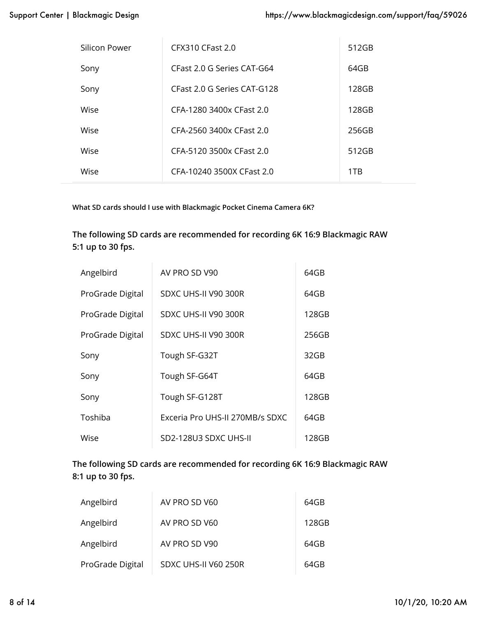| Silicon Power | CFX310 CFast 2.0            | 512GB |
|---------------|-----------------------------|-------|
| Sony          | CFast 2.0 G Series CAT-G64  | 64GB  |
| Sony          | CFast 2.0 G Series CAT-G128 | 128GB |
| Wise          | CFA-1280 3400x CFast 2.0    | 128GB |
| Wise          | CFA-2560 3400x CFast 2.0    | 256GB |
| Wise          | CFA-5120 3500x CFast 2.0    | 512GB |
| Wise          | CFA-10240 3500X CFast 2.0   | 1TB   |

**What SD cards should I use with Blackmagic Pocket Cinema Camera 6K?**

**The following SD cards are recommended for recording 6K 16:9 Blackmagic RAW 5:1 up to 30 fps.**

| Angelbird        | AV PRO SD V90                   | 64GB  |
|------------------|---------------------------------|-------|
| ProGrade Digital | SDXC UHS-II V90 300R            | 64GB  |
| ProGrade Digital | SDXC UHS-II V90 300R            | 128GB |
| ProGrade Digital | SDXC UHS-II V90 300R            | 256GB |
| Sony             | Tough SF-G32T                   | 32GB  |
| Sony             | Tough SF-G64T                   | 64GB  |
| Sony             | Tough SF-G128T                  | 128GB |
| Toshiba          | Exceria Pro UHS-II 270MB/s SDXC | 64GB  |
| Wise             | SD2-128U3 SDXC UHS-II           | 128GB |

**The following SD cards are recommended for recording 6K 16:9 Blackmagic RAW 8:1 up to 30 fps.**

| Angelbird        | AV PRO SD V60        | 64GB  |
|------------------|----------------------|-------|
| Angelbird        | AV PRO SD V60        | 128GB |
| Angelbird        | AV PRO SD V90        | 64GB  |
| ProGrade Digital | SDXC UHS-II V60 250R | 64GB  |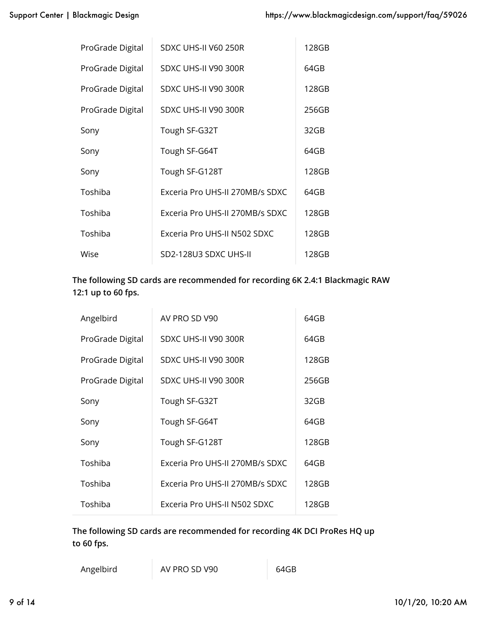| ProGrade Digital | SDXC UHS-II V60 250R            | 128GB |
|------------------|---------------------------------|-------|
| ProGrade Digital | SDXC UHS-II V90 300R            | 64GB  |
| ProGrade Digital | SDXC UHS-II V90 300R            | 128GB |
| ProGrade Digital | SDXC UHS-II V90 300R            | 256GB |
| Sony             | Tough SF-G32T                   | 32GB  |
| Sony             | Tough SF-G64T                   | 64GB  |
| Sony             | Tough SF-G128T                  | 128GB |
| Toshiba          | Exceria Pro UHS-II 270MB/s SDXC | 64GB  |
| Toshiba          | Exceria Pro UHS-II 270MB/s SDXC | 128GB |
| Toshiba          | Exceria Pro UHS-II N502 SDXC    | 128GB |
| Wise             | SD2-128U3 SDXC UHS-II           | 128GB |

# **The following SD cards are recommended for recording 6K 2.4:1 Blackmagic RAW 12:1 up to 60 fps.**

| Angelbird        | AV PRO SD V90                   | 64GB  |
|------------------|---------------------------------|-------|
| ProGrade Digital | SDXC UHS-II V90 300R            | 64GB  |
| ProGrade Digital | SDXC UHS-II V90 300R            | 128GB |
| ProGrade Digital | SDXC UHS-II V90 300R            | 256GB |
| Sony             | Tough SF-G32T                   | 32GB  |
| Sony             | Tough SF-G64T                   | 64GB  |
| Sony             | Tough SF-G128T                  | 128GB |
| Toshiba          | Exceria Pro UHS-II 270MB/s SDXC | 64GB  |
| Toshiba          | Exceria Pro UHS-II 270MB/s SDXC | 128GB |
| Toshiba          | Exceria Pro UHS-II N502 SDXC    | 128GB |

**The following SD cards are recommended for recording 4K DCI ProRes HQ up to 60 fps.**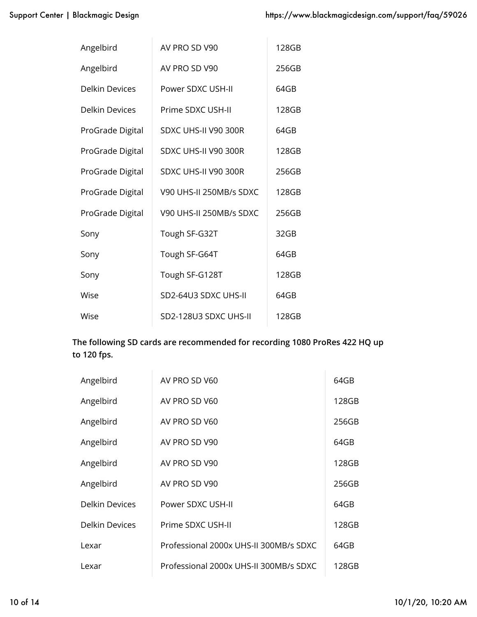| Angelbird        | AV PRO SD V90           | 128GB |
|------------------|-------------------------|-------|
| Angelbird        | AV PRO SD V90           | 256GB |
| Delkin Devices   | Power SDXC USH-II       | 64GB  |
| Delkin Devices   | Prime SDXC USH-II       | 128GB |
| ProGrade Digital | SDXC UHS-II V90 300R    | 64GB  |
| ProGrade Digital | SDXC UHS-II V90 300R    | 128GB |
| ProGrade Digital | SDXC UHS-II V90 300R    | 256GB |
| ProGrade Digital | V90 UHS-II 250MB/s SDXC | 128GB |
| ProGrade Digital | V90 UHS-II 250MB/s SDXC | 256GB |
| Sony             | Tough SF-G32T           | 32GB  |
| Sony             | Tough SF-G64T           | 64GB  |
| Sony             | Tough SF-G128T          | 128GB |
| Wise             | SD2-64U3 SDXC UHS-II    | 64GB  |
| Wise             | SD2-128U3 SDXC UHS-II   | 128GB |

## **The following SD cards are recommended for recording 1080 ProRes 422 HQ up to 120 fps.**

| Angelbird             | AV PRO SD V60                          | 64GB  |
|-----------------------|----------------------------------------|-------|
| Angelbird             | AV PRO SD V60                          | 128GB |
| Angelbird             | AV PRO SD V60                          | 256GB |
| Angelbird             | AV PRO SD V90                          | 64GB  |
| Angelbird             | AV PRO SD V90                          | 128GB |
| Angelbird             | AV PRO SD V90                          | 256GB |
| <b>Delkin Devices</b> | Power SDXC USH-II                      | 64GB  |
| <b>Delkin Devices</b> | Prime SDXC USH-II                      | 128GB |
| Lexar                 | Professional 2000x UHS-II 300MB/s SDXC | 64GB  |
| Lexar                 | Professional 2000x UHS-II 300MB/s SDXC | 128GB |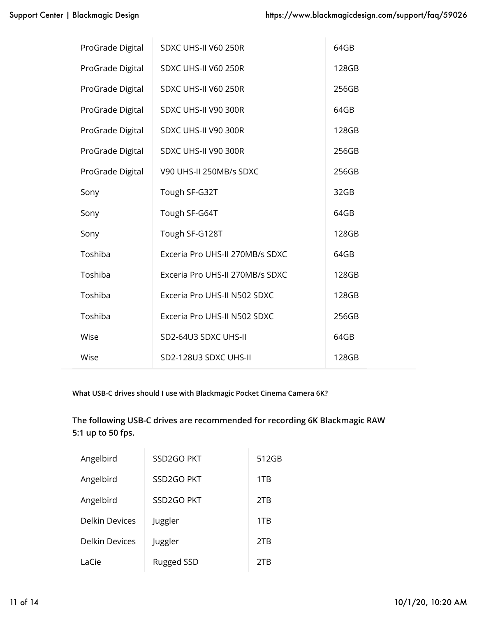| ProGrade Digital | SDXC UHS-II V60 250R            | 64GB  |
|------------------|---------------------------------|-------|
| ProGrade Digital | SDXC UHS-II V60 250R            | 128GB |
| ProGrade Digital | SDXC UHS-II V60 250R            | 256GB |
| ProGrade Digital | SDXC UHS-II V90 300R            | 64GB  |
| ProGrade Digital | SDXC UHS-II V90 300R            | 128GB |
| ProGrade Digital | SDXC UHS-II V90 300R            | 256GB |
| ProGrade Digital | V90 UHS-II 250MB/s SDXC         | 256GB |
| Sony             | Tough SF-G32T                   | 32GB  |
| Sony             | Tough SF-G64T                   | 64GB  |
| Sony             | Tough SF-G128T                  | 128GB |
| Toshiba          | Exceria Pro UHS-II 270MB/s SDXC | 64GB  |
| Toshiba          | Exceria Pro UHS-II 270MB/s SDXC | 128GB |
| Toshiba          | Exceria Pro UHS-II N502 SDXC    | 128GB |
| Toshiba          | Exceria Pro UHS-II N502 SDXC    | 256GB |
| Wise             | SD2-64U3 SDXC UHS-II            | 64GB  |
| Wise             | SD2-128U3 SDXC UHS-II           | 128GB |

**What USB-C drives should I use with Blackmagic Pocket Cinema Camera 6K?**

**The following USB-C drives are recommended for recording 6K Blackmagic RAW 5:1 up to 50 fps.**

| Angelbird             | SSD2GO PKT        | 512GB |
|-----------------------|-------------------|-------|
| Angelbird             | SSD2GO PKT        | 1TB   |
| Angelbird             | SSD2GO PKT        | 2TB   |
| <b>Delkin Devices</b> | Juggler           | 1TB   |
| <b>Delkin Devices</b> | Juggler           | 2TB   |
| LaCie                 | <b>Rugged SSD</b> | 2TB   |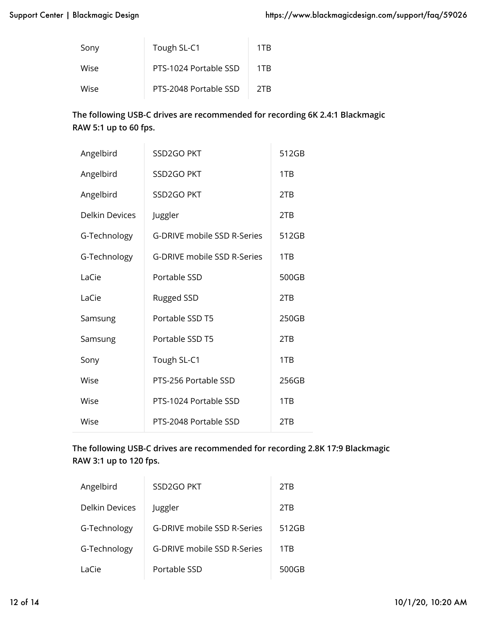| Sony | Tough SL-C1           | 1TB |
|------|-----------------------|-----|
| Wise | PTS-1024 Portable SSD | 1TR |
| Wise | PTS-2048 Portable SSD | 2TR |

#### **The following USB-C drives are recommended for recording 6K 2.4:1 Blackmagic RAW 5:1 up to 60 fps.**

| Angelbird      | SSD2GO PKT                  | 512GB |
|----------------|-----------------------------|-------|
| Angelbird      | SSD2GO PKT                  | 1TB   |
| Angelbird      | SSD2GO PKT                  | 2TB   |
| Delkin Devices | Juggler                     | 2TB   |
| G-Technology   | G-DRIVE mobile SSD R-Series | 512GB |
| G-Technology   | G-DRIVE mobile SSD R-Series | 1TB   |
| LaCie          | Portable SSD                | 500GB |
| LaCie          | <b>Rugged SSD</b>           | 2TB   |
| Samsung        | Portable SSD T5             | 250GB |
| Samsung        | Portable SSD T5             | 2TB   |
| Sony           | Tough SL-C1                 | 1TB   |
| Wise           | PTS-256 Portable SSD        | 256GB |
| Wise           | PTS-1024 Portable SSD       | 1TB   |
| Wise           | PTS-2048 Portable SSD       | 2TB   |

# **The following USB-C drives are recommended for recording 2.8K 17:9 Blackmagic RAW 3:1 up to 120 fps.**

| Angelbird      | SSD2GO PKT                  | 2TB   |
|----------------|-----------------------------|-------|
| Delkin Devices | Juggler                     | 2TB   |
| G-Technology   | G-DRIVE mobile SSD R-Series | 512GB |
| G-Technology   | G-DRIVE mobile SSD R-Series | 1TB   |
| LaCie          | Portable SSD                | 500GB |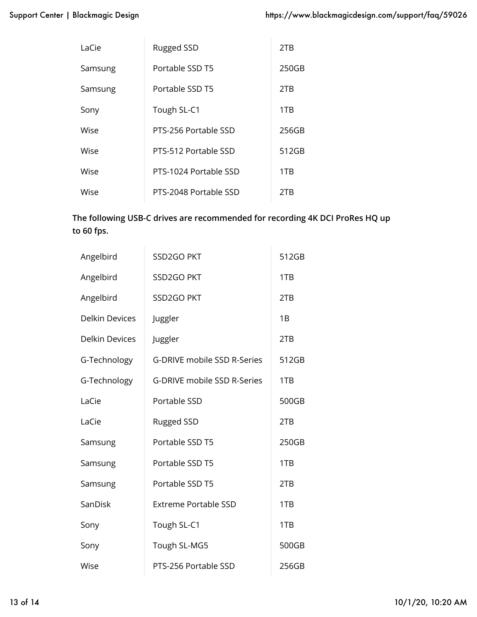| LaCie   | <b>Rugged SSD</b>     | 2TB   |
|---------|-----------------------|-------|
| Samsung | Portable SSD T5       | 250GB |
| Samsung | Portable SSD T5       | 2TB   |
| Sony    | Tough SL-C1           | 1TB   |
| Wise    | PTS-256 Portable SSD  | 256GB |
| Wise    | PTS-512 Portable SSD  | 512GB |
| Wise    | PTS-1024 Portable SSD | 1TB   |
| Wise    | PTS-2048 Portable SSD | 2TB   |

# **The following USB-C drives are recommended for recording 4K DCI ProRes HQ up to 60 fps.**

| Angelbird             | SSD2GO PKT                  | 512GB |
|-----------------------|-----------------------------|-------|
| Angelbird             | SSD2GO PKT                  | 1TB   |
| Angelbird             | SSD2GO PKT                  | 2TB   |
| <b>Delkin Devices</b> | Juggler                     | 1B    |
| <b>Delkin Devices</b> | Juggler                     | 2TB   |
| G-Technology          | G-DRIVE mobile SSD R-Series | 512GB |
| G-Technology          | G-DRIVE mobile SSD R-Series | 1TB   |
| LaCie                 | Portable SSD                | 500GB |
| LaCie                 | <b>Rugged SSD</b>           | 2TB   |
| Samsung               | Portable SSD T5             | 250GB |
| Samsung               | Portable SSD T5             | 1TB   |
| Samsung               | Portable SSD T5             | 2TB   |
| SanDisk               | <b>Extreme Portable SSD</b> | 1TB   |
| Sony                  | Tough SL-C1                 | 1TB   |
| Sony                  | Tough SL-MG5                | 500GB |
| Wise                  | PTS-256 Portable SSD        | 256GB |